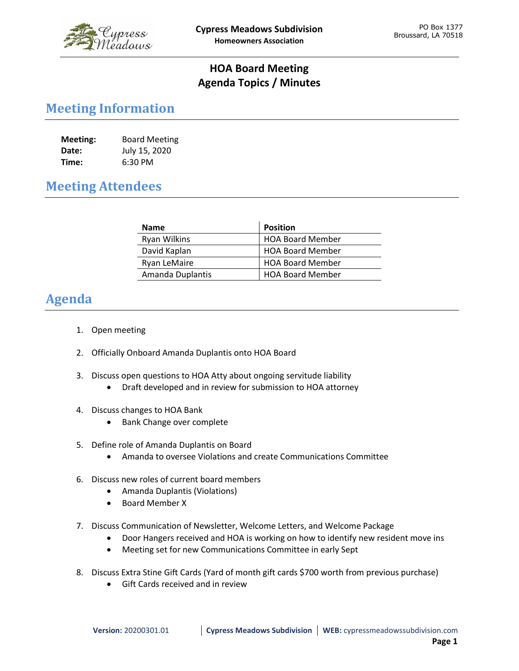

## **HOA Board Meeting Agenda Topics / Minutes**

## **Meeting Information**

| Meeting: | <b>Board Meeting</b> |
|----------|----------------------|
| Date:    | July 15, 2020        |
| Time:    | 6:30 PM              |

## **Meeting Attendees**

| <b>Name</b>         | <b>Position</b>         |
|---------------------|-------------------------|
| Ryan Wilkins        | <b>HOA Board Member</b> |
| David Kaplan        | <b>HOA Board Member</b> |
| <b>Ryan LeMaire</b> | <b>HOA Board Member</b> |
| Amanda Duplantis    | <b>HOA Board Member</b> |

## **Agenda**

- 1. Open meeting
- 2. Officially Onboard Amanda Duplantis onto HOA Board
- 3. Discuss open questions to HOA Atty about ongoing servitude liability
	- Draft developed and in review for submission to HOA attorney
- 4. Discuss changes to HOA Bank
	- Bank Change over complete
- 5. Define role of Amanda Duplantis on Board
	- Amanda to oversee Violations and create Communications Committee
- 6. Discuss new roles of current board members
	- Amanda Duplantis (Violations)
	- Board Member X
- 7. Discuss Communication of Newsletter, Welcome Letters, and Welcome Package
	- Door Hangers received and HOA is working on how to identify new resident move ins
	- Meeting set for new Communications Committee in early Sept
- 8. Discuss Extra Stine Gift Cards (Yard of month gift cards \$700 worth from previous purchase)
	- Gift Cards received and in review